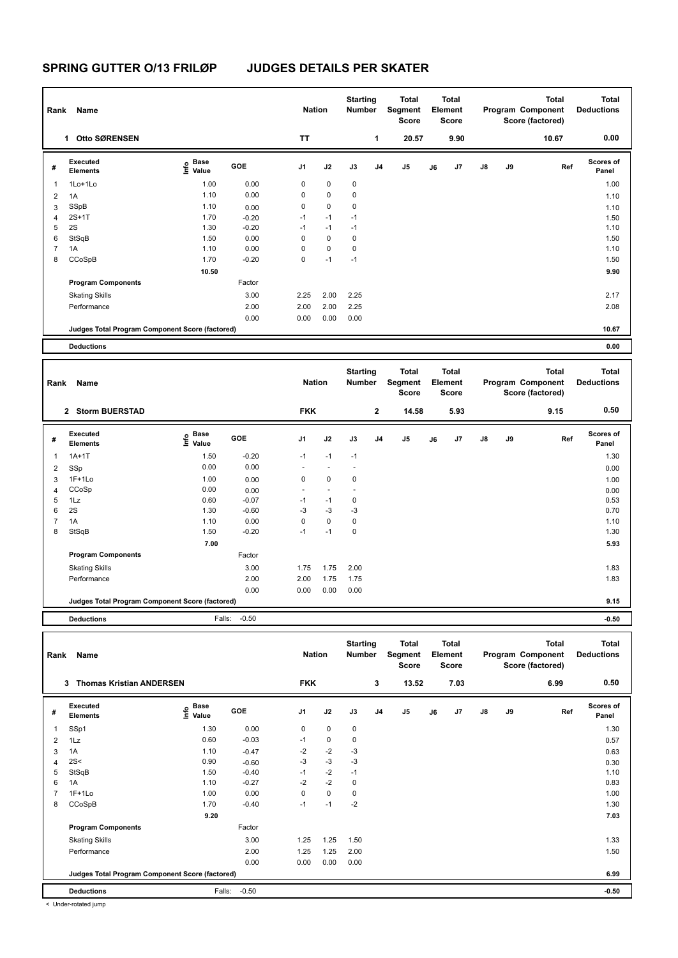## **SPRING GUTTER O/13 FRILØP JUDGES DETAILS PER SKATER**

| Rank | Name                                            |                                         |         | <b>Nation</b>  |             | <b>Starting</b><br><b>Number</b> |                | <b>Total</b><br>Segment<br><b>Score</b> |    | <b>Total</b><br>Element<br><b>Score</b>  |               |    | <b>Total</b><br>Program Component<br>Score (factored)            | <b>Total</b><br><b>Deductions</b> |
|------|-------------------------------------------------|-----------------------------------------|---------|----------------|-------------|----------------------------------|----------------|-----------------------------------------|----|------------------------------------------|---------------|----|------------------------------------------------------------------|-----------------------------------|
|      | Otto SØRENSEN<br>1                              |                                         |         | <b>TT</b>      |             |                                  | 1              | 20.57                                   |    | 9.90                                     |               |    | 10.67                                                            | 0.00                              |
| #    | <b>Executed</b><br><b>Elements</b>              | $\mathbf{e}$ Base<br>$\mathbf{E}$ Value | GOE     | J <sub>1</sub> | J2          | J3                               | J <sub>4</sub> | J <sub>5</sub>                          | J6 | J7                                       | $\mathsf{J}8$ | J9 | Ref                                                              | <b>Scores of</b><br>Panel         |
| 1    | 1Lo+1Lo                                         | 1.00                                    | 0.00    | 0              | $\mathbf 0$ | $\mathbf 0$                      |                |                                         |    |                                          |               |    |                                                                  | 1.00                              |
| 2    | 1A                                              | 1.10                                    | 0.00    | 0              | $\pmb{0}$   | 0                                |                |                                         |    |                                          |               |    |                                                                  | 1.10                              |
| 3    | SSpB                                            | 1.10                                    | 0.00    | 0              | $\mathbf 0$ | 0                                |                |                                         |    |                                          |               |    |                                                                  | 1.10                              |
| 4    | $2S+1T$                                         | 1.70                                    | $-0.20$ | $-1$           | $-1$        | $-1$                             |                |                                         |    |                                          |               |    |                                                                  | 1.50                              |
| 5    | 2S                                              | 1.30                                    | $-0.20$ | $-1$           | $-1$        | $-1$                             |                |                                         |    |                                          |               |    |                                                                  | 1.10                              |
| 6    | StSqB                                           | 1.50                                    | 0.00    | 0              | $\mathbf 0$ | 0                                |                |                                         |    |                                          |               |    |                                                                  | 1.50                              |
| 7    | 1A                                              | 1.10                                    | 0.00    | 0              | $\mathbf 0$ | 0                                |                |                                         |    |                                          |               |    |                                                                  | 1.10                              |
| 8    | CCoSpB                                          | 1.70                                    | $-0.20$ | 0              | $-1$        | $-1$                             |                |                                         |    |                                          |               |    |                                                                  | 1.50                              |
|      |                                                 | 10.50                                   |         |                |             |                                  |                |                                         |    |                                          |               |    |                                                                  | 9.90                              |
|      | <b>Program Components</b>                       |                                         | Factor  |                |             |                                  |                |                                         |    |                                          |               |    |                                                                  |                                   |
|      | <b>Skating Skills</b>                           |                                         | 3.00    | 2.25           | 2.00        | 2.25                             |                |                                         |    |                                          |               |    |                                                                  | 2.17                              |
|      | Performance                                     |                                         | 2.00    | 2.00           | 2.00        | 2.25                             |                |                                         |    |                                          |               |    |                                                                  | 2.08                              |
|      |                                                 |                                         | 0.00    | 0.00           | 0.00        | 0.00                             |                |                                         |    |                                          |               |    |                                                                  |                                   |
|      | Judges Total Program Component Score (factored) |                                         |         |                |             |                                  |                |                                         |    |                                          |               |    |                                                                  | 10.67                             |
|      | <b>Deductions</b>                               |                                         |         |                |             |                                  |                |                                         |    |                                          |               |    |                                                                  | 0.00                              |
| Rank | Name                                            |                                         |         | <b>Nation</b>  |             | <b>Starting</b><br><b>Number</b> |                | <b>Total</b><br>Segment                 |    | <b>Total</b><br>Element<br>$\sim$ $\sim$ |               |    | <b>Total</b><br>Program Component<br>$A + 1 = (A + 1) + (B + 1)$ | <b>Total</b><br><b>Deductions</b> |

|                |                                                 |                             |         |                          |                          |                          |              | <b>Score</b>   |    | <b>Score</b> |               |    | Score (factored) |                           |
|----------------|-------------------------------------------------|-----------------------------|---------|--------------------------|--------------------------|--------------------------|--------------|----------------|----|--------------|---------------|----|------------------|---------------------------|
|                | 2 Storm BUERSTAD                                |                             |         | <b>FKK</b>               |                          |                          | $\mathbf{2}$ | 14.58          |    | 5.93         |               |    | 9.15             | 0.50                      |
| #              | Executed<br><b>Elements</b>                     | Base<br>$\frac{6}{5}$ Value | GOE     | J1                       | J2                       | J3                       | J4           | J <sub>5</sub> | J6 | J7           | $\mathsf{J}8$ | J9 | Ref              | <b>Scores of</b><br>Panel |
| 1              | $1A+1T$                                         | 1.50                        | $-0.20$ | $-1$                     | $-1$                     | $-1$                     |              |                |    |              |               |    |                  | 1.30                      |
| 2              | SSp                                             | 0.00                        | 0.00    | $\overline{\phantom{a}}$ | $\overline{\phantom{a}}$ | $\overline{\phantom{a}}$ |              |                |    |              |               |    |                  | 0.00                      |
| 3              | $1F+1Lo$                                        | 1.00                        | 0.00    | 0                        | 0                        | 0                        |              |                |    |              |               |    |                  | 1.00                      |
| 4              | CCoSp                                           | 0.00                        | 0.00    | $\overline{\phantom{a}}$ | $\overline{\phantom{a}}$ |                          |              |                |    |              |               |    |                  | 0.00                      |
| 5              | 1Lz                                             | 0.60                        | $-0.07$ | $-1$                     | $-1$                     | 0                        |              |                |    |              |               |    |                  | 0.53                      |
| 6              | 2S                                              | 1.30                        | $-0.60$ | $-3$                     | $-3$                     | $-3$                     |              |                |    |              |               |    |                  | 0.70                      |
| $\overline{7}$ | 1A                                              | 1.10                        | 0.00    | 0                        | 0                        | 0                        |              |                |    |              |               |    |                  | 1.10                      |
| 8              | StSqB                                           | 1.50                        | $-0.20$ | $-1$                     | $-1$                     | 0                        |              |                |    |              |               |    |                  | 1.30                      |
|                |                                                 | 7.00                        |         |                          |                          |                          |              |                |    |              |               |    |                  | 5.93                      |
|                | <b>Program Components</b>                       |                             | Factor  |                          |                          |                          |              |                |    |              |               |    |                  |                           |
|                | <b>Skating Skills</b>                           |                             | 3.00    | 1.75                     | 1.75                     | 2.00                     |              |                |    |              |               |    |                  | 1.83                      |
|                | Performance                                     |                             | 2.00    | 2.00                     | 1.75                     | 1.75                     |              |                |    |              |               |    |                  | 1.83                      |
|                |                                                 |                             | 0.00    | 0.00                     | 0.00                     | 0.00                     |              |                |    |              |               |    |                  |                           |
|                | Judges Total Program Component Score (factored) |                             |         |                          |                          |                          |              |                |    |              | 9.15          |    |                  |                           |

**Deductions** Falls: -0.50 **-0.50**

| Rank | Name                                            |                                             |            | <b>Nation</b> |             | <b>Starting</b><br>Number |                | <b>Total</b><br>Segment<br><b>Score</b> |    | <b>Total</b><br>Element<br><b>Score</b> |               |    | <b>Total</b><br>Program Component<br>Score (factored) | Total<br><b>Deductions</b> |
|------|-------------------------------------------------|---------------------------------------------|------------|---------------|-------------|---------------------------|----------------|-----------------------------------------|----|-----------------------------------------|---------------|----|-------------------------------------------------------|----------------------------|
|      | <b>Thomas Kristian ANDERSEN</b><br>3            |                                             |            | <b>FKK</b>    |             |                           | 3              | 13.52                                   |    | 7.03                                    |               |    | 6.99                                                  | 0.50                       |
| #    | Executed<br><b>Elements</b>                     | <b>Base</b><br>e <sup>Base</sup><br>⊆ Value | <b>GOE</b> | J1            | J2          | J3                        | J <sub>4</sub> | $\mathsf{J}5$                           | J6 | J7                                      | $\mathsf{J}8$ | J9 | Ref                                                   | <b>Scores of</b><br>Panel  |
| 1    | SSp1                                            | 1.30                                        | 0.00       | 0             | $\mathbf 0$ | 0                         |                |                                         |    |                                         |               |    |                                                       | 1.30                       |
| 2    | 1Lz                                             | 0.60                                        | $-0.03$    | $-1$          | 0           | 0                         |                |                                         |    |                                         |               |    |                                                       | 0.57                       |
| 3    | 1A                                              | 1.10                                        | $-0.47$    | $-2$          | $-2$        | $-3$                      |                |                                         |    |                                         |               |    |                                                       | 0.63                       |
| 4    | 2S<                                             | 0.90                                        | $-0.60$    | $-3$          | $-3$        | $-3$                      |                |                                         |    |                                         |               |    |                                                       | 0.30                       |
| 5    | StSqB                                           | 1.50                                        | $-0.40$    | $-1$          | $-2$        | $-1$                      |                |                                         |    |                                         |               |    |                                                       | 1.10                       |
| 6    | 1A                                              | 1.10                                        | $-0.27$    | $-2$          | $-2$        | 0                         |                |                                         |    |                                         |               |    |                                                       | 0.83                       |
|      | $1F+1Lo$                                        | 1.00                                        | 0.00       | 0             | $\mathbf 0$ | 0                         |                |                                         |    |                                         |               |    |                                                       | 1.00                       |
| 8    | CCoSpB                                          | 1.70                                        | $-0.40$    | $-1$          | $-1$        | $-2$                      |                |                                         |    |                                         |               |    |                                                       | 1.30                       |
|      |                                                 | 9.20                                        |            |               |             |                           |                |                                         |    |                                         |               |    |                                                       | 7.03                       |
|      | <b>Program Components</b>                       |                                             | Factor     |               |             |                           |                |                                         |    |                                         |               |    |                                                       |                            |
|      | <b>Skating Skills</b>                           |                                             | 3.00       | 1.25          | 1.25        | 1.50                      |                |                                         |    |                                         |               |    |                                                       | 1.33                       |
|      | Performance                                     |                                             | 2.00       | 1.25          | 1.25        | 2.00                      |                |                                         |    |                                         |               |    |                                                       | 1.50                       |
|      |                                                 |                                             | 0.00       | 0.00          | 0.00        | 0.00                      |                |                                         |    |                                         |               |    |                                                       |                            |
|      | Judges Total Program Component Score (factored) |                                             |            |               |             |                           |                |                                         |    |                                         |               |    |                                                       | 6.99                       |
|      | <b>Deductions</b>                               | Falls:                                      | $-0.50$    |               |             |                           |                |                                         |    |                                         |               |    |                                                       | $-0.50$                    |

< Under-rotated jump